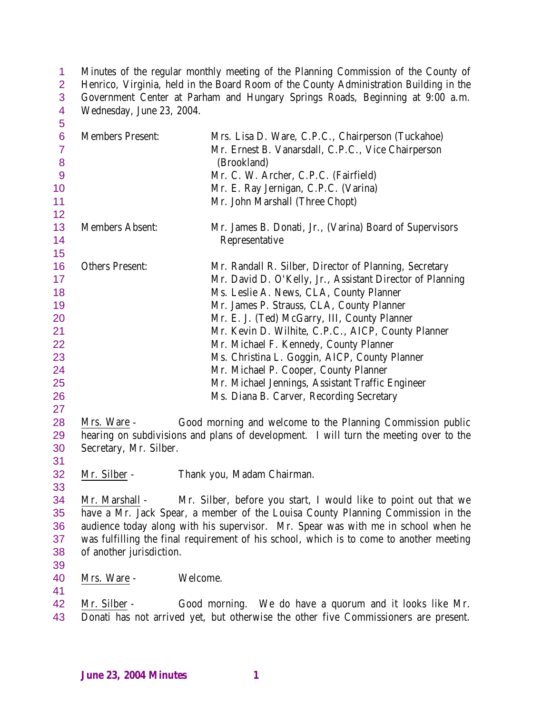Minutes of the regular monthly meeting of the Planning Commission of the County of 2 Henrico, Virginia, held in the Board Room of the County Administration Building in the Government Center at Parham and Hungary Springs Roads, Beginning at 9:00 a.m. Wednesday, June 23, 2004.

| 5                   |                          |                                                                                           |
|---------------------|--------------------------|-------------------------------------------------------------------------------------------|
| $6\phantom{a}$      | <b>Members Present:</b>  | Mrs. Lisa D. Ware, C.P.C., Chairperson (Tuckahoe)                                         |
| $\overline{7}$<br>8 |                          | Mr. Ernest B. Vanarsdall, C.P.C., Vice Chairperson<br>(Brookland)                         |
| 9                   |                          | Mr. C. W. Archer, C.P.C. (Fairfield)                                                      |
| 10                  |                          | Mr. E. Ray Jernigan, C.P.C. (Varina)                                                      |
| 11                  |                          | Mr. John Marshall (Three Chopt)                                                           |
| 12                  |                          |                                                                                           |
| 13                  | <b>Members Absent:</b>   | Mr. James B. Donati, Jr., (Varina) Board of Supervisors                                   |
| 14                  |                          | Representative                                                                            |
| 15                  |                          |                                                                                           |
| 16                  | <b>Others Present:</b>   | Mr. Randall R. Silber, Director of Planning, Secretary                                    |
| 17                  |                          | Mr. David D. O'Kelly, Jr., Assistant Director of Planning                                 |
| 18                  |                          | Ms. Leslie A. News, CLA, County Planner                                                   |
| 19                  |                          | Mr. James P. Strauss, CLA, County Planner                                                 |
| 20                  |                          | Mr. E. J. (Ted) McGarry, III, County Planner                                              |
| 21                  |                          | Mr. Kevin D. Wilhite, C.P.C., AICP, County Planner                                        |
| 22<br>23            |                          | Mr. Michael F. Kennedy, County Planner                                                    |
| 24                  |                          | Ms. Christina L. Goggin, AICP, County Planner                                             |
| 25                  |                          | Mr. Michael P. Cooper, County Planner<br>Mr. Michael Jennings, Assistant Traffic Engineer |
| 26                  |                          | Ms. Diana B. Carver, Recording Secretary                                                  |
| 27                  |                          |                                                                                           |
| 28                  | Mrs. Ware -              | Good morning and welcome to the Planning Commission public                                |
| 29                  |                          | hearing on subdivisions and plans of development. I will turn the meeting over to the     |
| 30                  | Secretary, Mr. Silber.   |                                                                                           |
| 31                  |                          |                                                                                           |
| 32                  | Mr. Silber -             | Thank you, Madam Chairman.                                                                |
| 33                  |                          |                                                                                           |
| 34                  | Mr. Marshall -           | Mr. Silber, before you start, I would like to point out that we                           |
| 35                  |                          | have a Mr. Jack Spear, a member of the Louisa County Planning Commission in the           |
| 36                  |                          | audience today along with his supervisor. Mr. Spear was with me in school when he         |
| 37                  |                          | was fulfilling the final requirement of his school, which is to come to another meeting   |
| 38                  | of another jurisdiction. |                                                                                           |
| 39                  |                          |                                                                                           |
| 40                  | Mrs. Ware -              | Welcome.                                                                                  |
| 41                  |                          |                                                                                           |
| 42                  | Mr. Silber -             | Good morning. We do have a quorum and it looks like Mr.                                   |
| 43                  |                          | Donati has not arrived yet, but otherwise the other five Commissioners are present.       |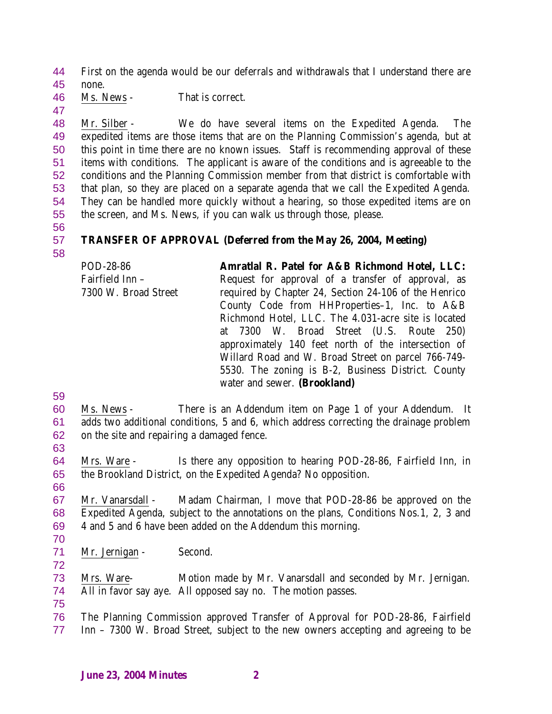First on the agenda would be our deferrals and withdrawals that I understand there are none.

Ms. News - That is correct.

 Mr. Silber - We do have several items on the Expedited Agenda. The expedited items are those items that are on the Planning Commission's agenda, but at this point in time there are no known issues. Staff is recommending approval of these items with conditions. The applicant is aware of the conditions and is agreeable to the conditions and the Planning Commission member from that district is comfortable with that plan, so they are placed on a separate agenda that we call the Expedited Agenda. They can be handled more quickly without a hearing, so those expedited items are on the screen, and Ms. News, if you can walk us through those, please.

### **TRANSFER OF APPROVAL (Deferred from the May 26, 2004, Meeting)**

- POD-28-86 Fairfield Inn – 7300 W. Broad Street **Amratlal R. Patel for A&B Richmond Hotel, LLC:** Request for approval of a transfer of approval, as required by Chapter 24, Section 24-106 of the Henrico County Code from HHProperties–1, Inc. to A&B Richmond Hotel, LLC. The 4.031-acre site is located at 7300 W. Broad Street (U.S. Route 250) approximately 140 feet north of the intersection of Willard Road and W. Broad Street on parcel 766-749- 5530. The zoning is B-2, Business District. County water and sewer. **(Brookland)**
- 

 Ms. News - There is an Addendum item on Page 1 of your Addendum. It adds two additional conditions, 5 and 6, which address correcting the drainage problem

- on the site and repairing a damaged fence.
- 

 Mrs. Ware - Is there any opposition to hearing POD-28-86, Fairfield Inn, in the Brookland District, on the Expedited Agenda? No opposition. 

 Mr. Vanarsdall - Madam Chairman, I move that POD-28-86 be approved on the Expedited Agenda, subject to the annotations on the plans, Conditions Nos.1, 2, 3 and 4 and 5 and 6 have been added on the Addendum this morning.

Mr. Jernigan - Second.

 Mrs. Ware- Motion made by Mr. Vanarsdall and seconded by Mr. Jernigan. All in favor say aye. All opposed say no. The motion passes.

 The Planning Commission approved Transfer of Approval for POD-28-86, Fairfield Inn – 7300 W. Broad Street, subject to the new owners accepting and agreeing to be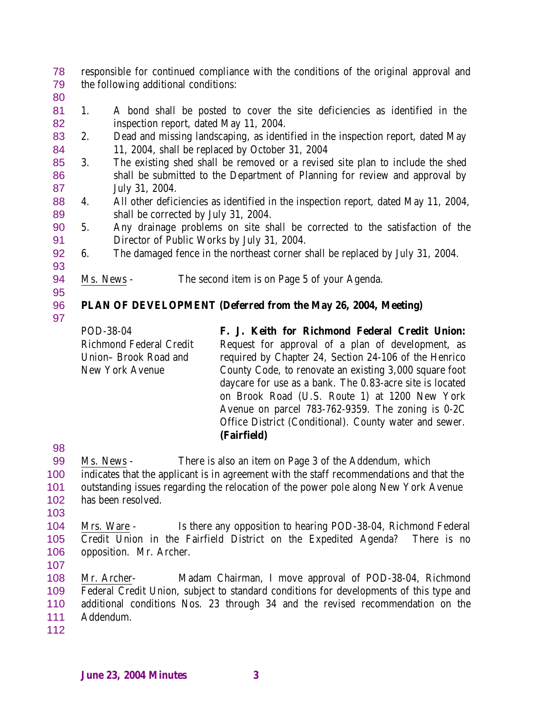responsible for continued compliance with the conditions of the original approval and the following additional conditions:

 1. A bond shall be posted to cover the site deficiencies as identified in the inspection report, dated May 11, 2004.

- 2. Dead and missing landscaping, as identified in the inspection report, dated May 11, 2004, shall be replaced by October 31, 2004
- 3. The existing shed shall be removed or a revised site plan to include the shed shall be submitted to the Department of Planning for review and approval by July 31, 2004.
- 4. All other deficiencies as identified in the inspection report, dated May 11, 2004, shall be corrected by July 31, 2004.
- 5. Any drainage problems on site shall be corrected to the satisfaction of the Director of Public Works by July 31, 2004.
- 6. The damaged fence in the northeast corner shall be replaced by July 31, 2004.
- Ms. News - The second item is on Page 5 of your Agenda.

# **PLAN OF DEVELOPMENT (Deferred from the May 26, 2004, Meeting)**

POD-38-04 Richmond Federal Credit Union– Brook Road and New York Avenue **F. J. Keith for Richmond Federal Credit Union:** Request for approval of a plan of development, as required by Chapter 24, Section 24-106 of the Henrico County Code, to renovate an existing 3,000 square foot daycare for use as a bank. The 0.83-acre site is located on Brook Road (U.S. Route 1) at 1200 New York Avenue on parcel 783-762-9359. The zoning is 0-2C Office District (Conditional). County water and sewer. **(Fairfield)**

- Ms. News There is also an item on Page 3 of the Addendum, which indicates that the applicant is in agreement with the staff recommendations and that the
- outstanding issues regarding the relocation of the power pole along New York Avenue has been resolved.
- 

 Mrs. Ware - Is there any opposition to hearing POD-38-04, Richmond Federal Credit Union in the Fairfield District on the Expedited Agenda? There is no opposition. Mr. Archer.

 Mr. Archer- Madam Chairman, I move approval of POD-38-04, Richmond Federal Credit Union, subject to standard conditions for developments of this type and additional conditions Nos. 23 through 34 and the revised recommendation on the Addendum.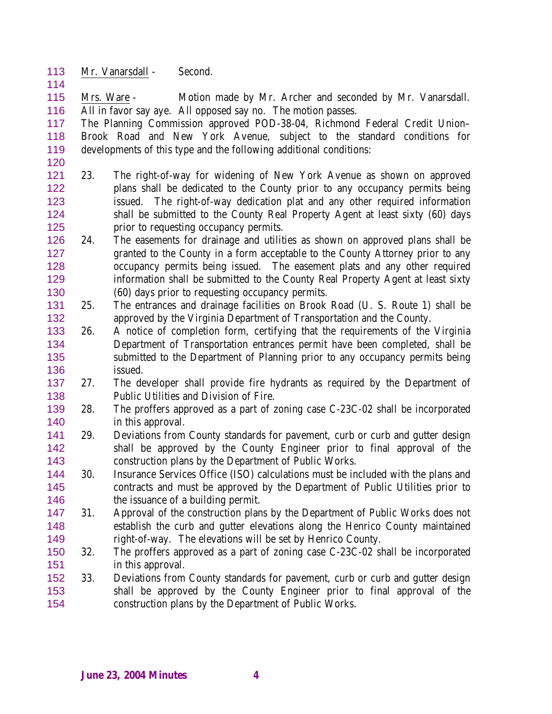- 113 Mr. Vanarsdall Second.
- Mrs. Ware Motion made by Mr. Archer and seconded by Mr. Vanarsdall. All in favor say aye. All opposed say no. The motion passes.

 The Planning Commission approved POD-38-04, Richmond Federal Credit Union– Brook Road and New York Avenue, subject to the standard conditions for developments of this type and the following additional conditions:

- 23. The right-of-way for widening of New York Avenue as shown on approved plans shall be dedicated to the County prior to any occupancy permits being issued. The right-of-way dedication plat and any other required information shall be submitted to the County Real Property Agent at least sixty (60) days prior to requesting occupancy permits.
- 24. The easements for drainage and utilities as shown on approved plans shall be granted to the County in a form acceptable to the County Attorney prior to any occupancy permits being issued. The easement plats and any other required information shall be submitted to the County Real Property Agent at least sixty (60) days prior to requesting occupancy permits.
- 25. The entrances and drainage facilities on Brook Road (U. S. Route 1) shall be approved by the Virginia Department of Transportation and the County.
- 26. A notice of completion form, certifying that the requirements of the Virginia Department of Transportation entrances permit have been completed, shall be submitted to the Department of Planning prior to any occupancy permits being issued.
- 27. The developer shall provide fire hydrants as required by the Department of Public Utilities and Division of Fire.
- 28. The proffers approved as a part of zoning case C-23C-02 shall be incorporated 140 in this approval.
- 29. Deviations from County standards for pavement, curb or curb and gutter design shall be approved by the County Engineer prior to final approval of the construction plans by the Department of Public Works.
- 30. Insurance Services Office (ISO) calculations must be included with the plans and contracts and must be approved by the Department of Public Utilities prior to 146 the issuance of a building permit.
- 31. Approval of the construction plans by the Department of Public Works does not establish the curb and gutter elevations along the Henrico County maintained right-of-way. The elevations will be set by Henrico County.
- 32. The proffers approved as a part of zoning case C-23C-02 shall be incorporated in this approval.
- 33. Deviations from County standards for pavement, curb or curb and gutter design shall be approved by the County Engineer prior to final approval of the construction plans by the Department of Public Works.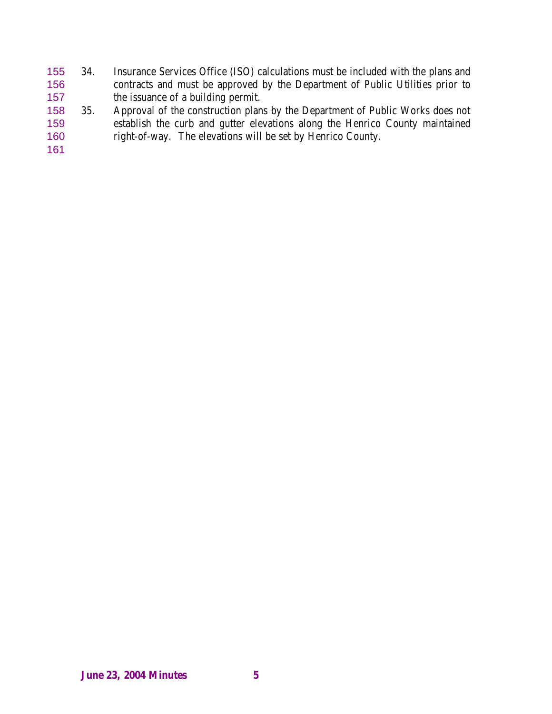- 34. Insurance Services Office (ISO) calculations must be included with the plans and contracts and must be approved by the Department of Public Utilities prior to the issuance of a building permit.
- 35. Approval of the construction plans by the Department of Public Works does not establish the curb and gutter elevations along the Henrico County maintained right-of-way. The elevations will be set by Henrico County.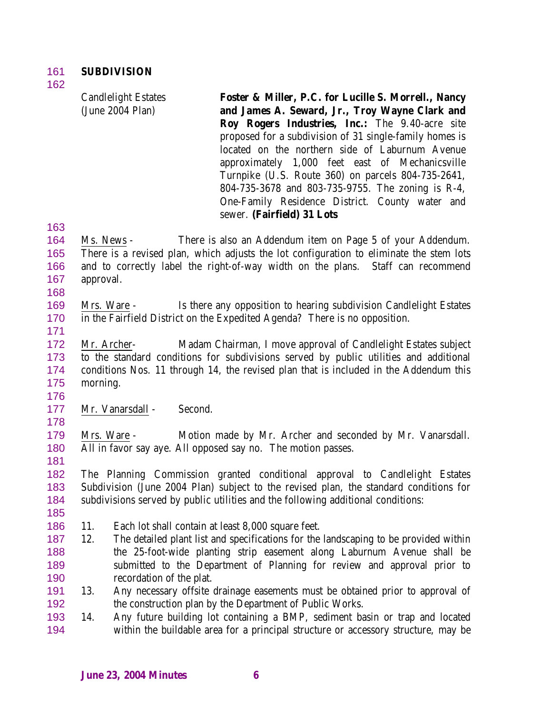Candlelight Estates (June 2004 Plan)

**Foster & Miller, P.C. for Lucille S. Morrell., Nancy and James A. Seward, Jr., Troy Wayne Clark and Roy Rogers Industries, Inc.:** The 9.40-acre site proposed for a subdivision of 31 single-family homes is located on the northern side of Laburnum Avenue approximately 1,000 feet east of Mechanicsville Turnpike (U.S. Route 360) on parcels 804-735-2641, 804-735-3678 and 803-735-9755. The zoning is R-4, One-Family Residence District. County water and sewer. **(Fairfield) 31 Lots**

- Ms. News There is also an Addendum item on Page 5 of your Addendum. There is a revised plan, which adjusts the lot configuration to eliminate the stem lots and to correctly label the right-of-way width on the plans. Staff can recommend approval.
- Mrs. Ware Is there any opposition to hearing subdivision Candlelight Estates in the Fairfield District on the Expedited Agenda? There is no opposition.
- 

 Mr. Archer- Madam Chairman, I move approval of Candlelight Estates subject to the standard conditions for subdivisions served by public utilities and additional conditions Nos. 11 through 14, the revised plan that is included in the Addendum this morning.

177 Mr. Vanarsdall - Second.

 Mrs. Ware - Motion made by Mr. Archer and seconded by Mr. Vanarsdall. All in favor say aye. All opposed say no. The motion passes.

 The Planning Commission granted conditional approval to Candlelight Estates Subdivision (June 2004 Plan) subject to the revised plan, the standard conditions for subdivisions served by public utilities and the following additional conditions:

- 
- 11. Each lot shall contain at least 8,000 square feet.
- 12. The detailed plant list and specifications for the landscaping to be provided within the 25-foot-wide planting strip easement along Laburnum Avenue shall be submitted to the Department of Planning for review and approval prior to recordation of the plat.
- 13. Any necessary offsite drainage easements must be obtained prior to approval of the construction plan by the Department of Public Works.
- 14. Any future building lot containing a BMP, sediment basin or trap and located within the buildable area for a principal structure or accessory structure, may be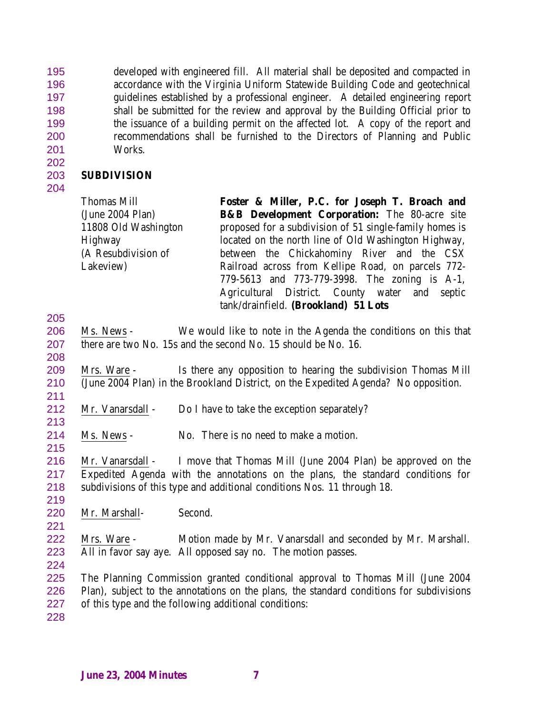developed with engineered fill. All material shall be deposited and compacted in accordance with the Virginia Uniform Statewide Building Code and geotechnical guidelines established by a professional engineer. A detailed engineering report shall be submitted for the review and approval by the Building Official prior to the issuance of a building permit on the affected lot. A copy of the report and recommendations shall be furnished to the Directors of Planning and Public Works.

## **SUBDIVISION**

| Thomas Mill          | Foster & Miller, P.C. for Joseph T. Broach and                                         |
|----------------------|----------------------------------------------------------------------------------------|
| (June 2004 Plan)     | <b>B&amp;B Development Corporation:</b> The 80-acre site                               |
| 11808 Old Washington | proposed for a subdivision of 51 single-family homes is                                |
| Highway              | located on the north line of Old Washington Highway,                                   |
| (A Resubdivision of  | between the Chickahominy River and the CSX                                             |
| Lakeview)            | Railroad across from Kellipe Road, on parcels 772-                                     |
|                      | 779-5613 and 773-779-3998. The zoning is A-1,                                          |
|                      | Agricultural District. County water and septic<br>tank/drainfield. (Brookland) 51 Lots |

- Ms. News We would like to note in the Agenda the conditions on this that there are two No. 15s and the second No. 15 should be No. 16.
- 

 Mrs. Ware - Is there any opposition to hearing the subdivision Thomas Mill (June 2004 Plan) in the Brookland District, on the Expedited Agenda? No opposition. 

- 212 Mr. Vanarsdall Do I have to take the exception separately?
- Ms. News No. There is no need to make a motion.

 Mr. Vanarsdall - I move that Thomas Mill (June 2004 Plan) be approved on the Expedited Agenda with the annotations on the plans, the standard conditions for subdivisions of this type and additional conditions Nos. 11 through 18.

Mr. Marshall- Second.

 Mrs. Ware - Motion made by Mr. Vanarsdall and seconded by Mr. Marshall. All in favor say aye. All opposed say no. The motion passes.

 The Planning Commission granted conditional approval to Thomas Mill (June 2004 Plan), subject to the annotations on the plans, the standard conditions for subdivisions of this type and the following additional conditions: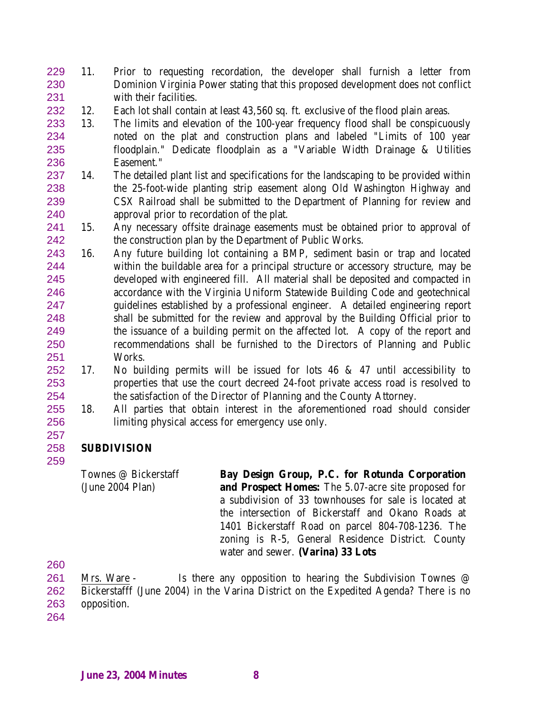- 11. Prior to requesting recordation, the developer shall furnish a letter from Dominion Virginia Power stating that this proposed development does not conflict with their facilities.
- 12. Each lot shall contain at least 43,560 sq. ft. exclusive of the flood plain areas.
- 13. The limits and elevation of the 100-year frequency flood shall be conspicuously noted on the plat and construction plans and labeled "Limits of 100 year floodplain." Dedicate floodplain as a "Variable Width Drainage & Utilities Easement."
- 14. The detailed plant list and specifications for the landscaping to be provided within the 25-foot-wide planting strip easement along Old Washington Highway and CSX Railroad shall be submitted to the Department of Planning for review and approval prior to recordation of the plat.
- 15. Any necessary offsite drainage easements must be obtained prior to approval of the construction plan by the Department of Public Works.
- 16. Any future building lot containing a BMP, sediment basin or trap and located within the buildable area for a principal structure or accessory structure, may be developed with engineered fill. All material shall be deposited and compacted in accordance with the Virginia Uniform Statewide Building Code and geotechnical guidelines established by a professional engineer. A detailed engineering report shall be submitted for the review and approval by the Building Official prior to the issuance of a building permit on the affected lot. A copy of the report and recommendations shall be furnished to the Directors of Planning and Public Works.
- 17. No building permits will be issued for lots 46 & 47 until accessibility to properties that use the court decreed 24-foot private access road is resolved to the satisfaction of the Director of Planning and the County Attorney.
- 18. All parties that obtain interest in the aforementioned road should consider limiting physical access for emergency use only.

## **SUBDIVISION**

Townes @ Bickerstaff (June 2004 Plan) **Bay Design Group, P.C. for Rotunda Corporation and Prospect Homes:** The 5.07-acre site proposed for a subdivision of 33 townhouses for sale is located at the intersection of Bickerstaff and Okano Roads at 1401 Bickerstaff Road on parcel 804-708-1236. The zoning is R-5, General Residence District. County water and sewer. **(Varina) 33 Lots**

261 Mrs. Ware - Is there any opposition to hearing the Subdivision Townes @ Bickerstafff (June 2004) in the Varina District on the Expedited Agenda? There is no opposition.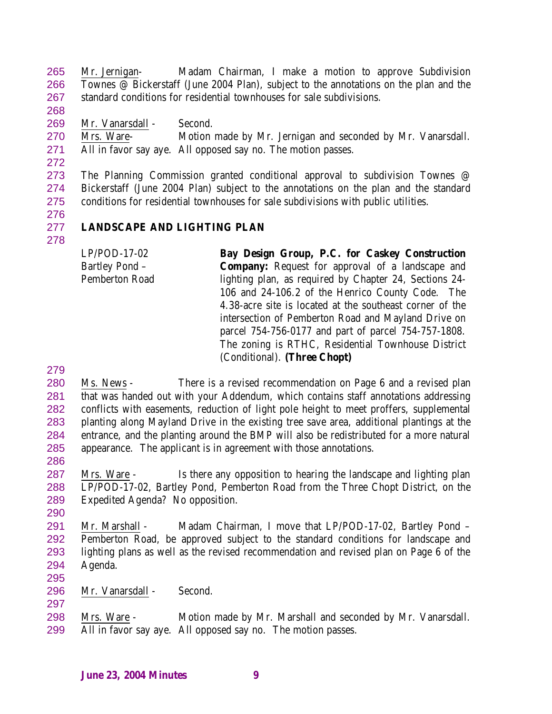Mr. Jernigan- Madam Chairman, I make a motion to approve Subdivision Townes @ Bickerstaff (June 2004 Plan), subject to the annotations on the plan and the standard conditions for residential townhouses for sale subdivisions.

Mr. Vanarsdall - Second.

 Mrs. Ware- Motion made by Mr. Jernigan and seconded by Mr. Vanarsdall. All in favor say aye. All opposed say no. The motion passes.

 The Planning Commission granted conditional approval to subdivision Townes @ Bickerstaff (June 2004 Plan) subject to the annotations on the plan and the standard conditions for residential townhouses for sale subdivisions with public utilities.

# **LANDSCAPE AND LIGHTING PLAN**

LP/POD-17-02 Bartley Pond – Pemberton Road **Bay Design Group, P.C. for Caskey Construction Company:** Request for approval of a landscape and lighting plan, as required by Chapter 24, Sections 24- 106 and 24-106.2 of the Henrico County Code. The 4.38-acre site is located at the southeast corner of the intersection of Pemberton Road and Mayland Drive on parcel 754-756-0177 and part of parcel 754-757-1808. The zoning is RTHC, Residential Townhouse District (Conditional). **(Three Chopt)**

 Ms. News - There is a revised recommendation on Page 6 and a revised plan that was handed out with your Addendum, which contains staff annotations addressing conflicts with easements, reduction of light pole height to meet proffers, supplemental planting along Mayland Drive in the existing tree save area, additional plantings at the entrance, and the planting around the BMP will also be redistributed for a more natural appearance. The applicant is in agreement with those annotations.

 Mrs. Ware - Is there any opposition to hearing the landscape and lighting plan LP/POD-17-02, Bartley Pond, Pemberton Road from the Three Chopt District, on the Expedited Agenda? No opposition.

291 Mr. Marshall - Madam Chairman, I move that LP/POD-17-02, Bartley Pond - Pemberton Road, be approved subject to the standard conditions for landscape and lighting plans as well as the revised recommendation and revised plan on Page 6 of the Agenda. 

Mr. Vanarsdall - Second.

 Mrs. Ware - Motion made by Mr. Marshall and seconded by Mr. Vanarsdall. All in favor say aye. All opposed say no. The motion passes.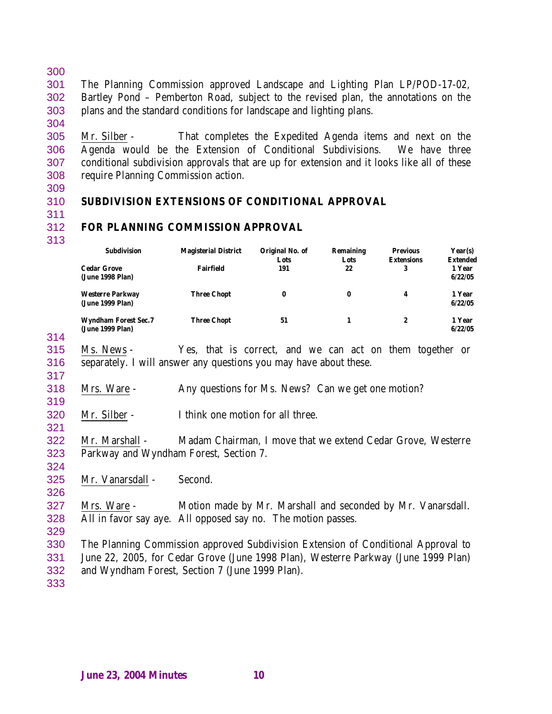The Planning Commission approved Landscape and Lighting Plan LP/POD-17-02, Bartley Pond – Pemberton Road, subject to the revised plan, the annotations on the plans and the standard conditions for landscape and lighting plans.

 Mr. Silber - That completes the Expedited Agenda items and next on the Agenda would be the Extension of Conditional Subdivisions. We have three conditional subdivision approvals that are up for extension and it looks like all of these require Planning Commission action.

# **SUBDIVISION EXTENSIONS OF CONDITIONAL APPROVAL**

#### **FOR PLANNING COMMISSION APPROVAL**

| <b>Subdivision</b>                              | <b>Magisterial District</b> | Original No. of<br>Lots | <b>Remaining</b><br>Lots | <b>Previous</b><br><b>Extensions</b> | Year(s)<br><b>Extended</b> |
|-------------------------------------------------|-----------------------------|-------------------------|--------------------------|--------------------------------------|----------------------------|
| <b>Cedar Grove</b><br>(June 1998 Plan)          | <b>Fairfield</b>            | 191                     | 22                       | 3                                    | 1 Year<br>6/22/05          |
| <b>Westerre Parkway</b><br>(June 1999 Plan)     | <b>Three Chopt</b>          | $\bf{0}$                | 0                        | 4                                    | 1 Year<br>6/22/05          |
| <b>Wyndham Forest Sec.7</b><br>(June 1999 Plan) | <b>Three Chopt</b>          | 51                      |                          | 2                                    | 1 Year<br>6/22/05          |

 Ms. News - Yes, that is correct, and we can act on them together or separately. I will answer any questions you may have about these.

Mrs. Ware - Any questions for Ms. News? Can we get one motion?

- Mr. Silber I think one motion for all three.
- Mr. Marshall Madam Chairman, I move that we extend Cedar Grove, Westerre Parkway and Wyndham Forest, Section 7.
- 

Mr. Vanarsdall - Second.

 Mrs. Ware - Motion made by Mr. Marshall and seconded by Mr. Vanarsdall. All in favor say aye. All opposed say no. The motion passes.

- The Planning Commission approved Subdivision Extension of Conditional Approval to June 22, 2005, for Cedar Grove (June 1998 Plan), Westerre Parkway (June 1999 Plan) and Wyndham Forest, Section 7 (June 1999 Plan).
-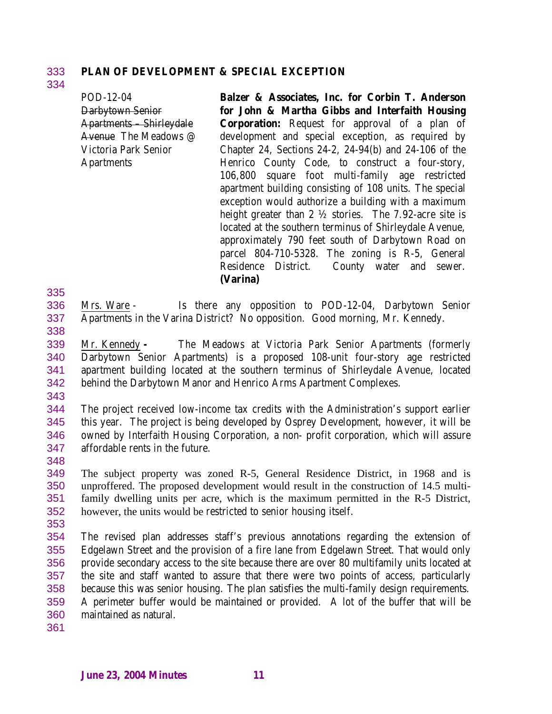## 333 **PLAN OF DEVELOPMENT & SPECIAL EXCEPTION**

POD-12-04 Darbytown Senior Apartments – Shirleydale Avenue The Meadows @ Victoria Park Senior Apartments **Balzer & Associates, Inc. for Corbin T. Anderson for John & Martha Gibbs and Interfaith Housing Corporation:** Request for approval of a plan of development and special exception, as required by Chapter 24, Sections 24-2, 24-94(b) and 24-106 of the Henrico County Code, to construct a four-story, 106,800 square foot multi-family age restricted apartment building consisting of 108 units. The special exception would authorize a building with a maximum height greater than 2 ½ stories. The 7.92-acre site is located at the southern terminus of Shirleydale Avenue, approximately 790 feet south of Darbytown Road on parcel 804-710-5328. The zoning is R-5, General Residence District. County water and sewer.

#### **(Varina)**

336 Mrs. Ware - Is there any opposition to POD-12-04, Darbytown Senior 337 Apartments in the Varina District? No opposition. Good morning, Mr. Kennedy.

338

335

334

 Mr. Kennedy **-** The Meadows at Victoria Park Senior Apartments (formerly Darbytown Senior Apartments) is a proposed 108-unit four-story age restricted apartment building located at the southern terminus of Shirleydale Avenue, located behind the Darbytown Manor and Henrico Arms Apartment Complexes.

343

 The project received low-income tax credits with the Administration's support earlier this year. The project is being developed by Osprey Development, however, it will be owned by Interfaith Housing Corporation, a non- profit corporation, which will assure affordable rents in the future.

348

 The subject property was zoned R-5, General Residence District, in 1968 and is unproffered. The proposed development would result in the construction of 14.5 multi- family dwelling units per acre, which is the maximum permitted in the R-5 District, however, the units would be restricted to senior housing itself.

353

 The revised plan addresses staff's previous annotations regarding the extension of Edgelawn Street and the provision of a fire lane from Edgelawn Street. That would only provide secondary access to the site because there are over 80 multifamily units located at the site and staff wanted to assure that there were two points of access, particularly because this was senior housing. The plan satisfies the multi-family design requirements. A perimeter buffer would be maintained or provided. A lot of the buffer that will be maintained as natural.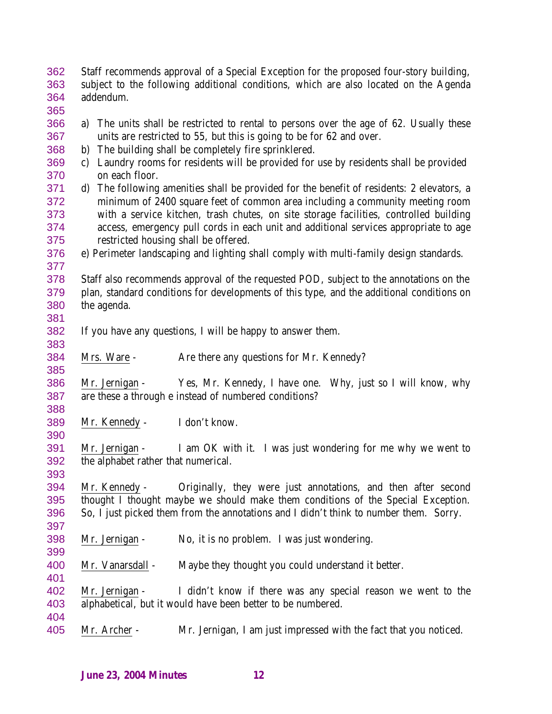Staff recommends approval of a Special Exception for the proposed four-story building, subject to the following additional conditions, which are also located on the Agenda addendum.

- a) The units shall be restricted to rental to persons over the age of 62. Usually these units are restricted to 55, but this is going to be for 62 and over.
- b) The building shall be completely fire sprinklered.
- c) Laundry rooms for residents will be provided for use by residents shall be provided on each floor.
- d) The following amenities shall be provided for the benefit of residents: 2 elevators, a minimum of 2400 square feet of common area including a community meeting room with a service kitchen, trash chutes, on site storage facilities, controlled building access, emergency pull cords in each unit and additional services appropriate to age restricted housing shall be offered.
- e) Perimeter landscaping and lighting shall comply with multi-family design standards.
- Staff also recommends approval of the requested POD, subject to the annotations on the plan, standard conditions for developments of this type, and the additional conditions on the agenda.
- If you have any questions, I will be happy to answer them.
- Mrs. Ware Are there any questions for Mr. Kennedy?

 Mr. Jernigan - Yes, Mr. Kennedy, I have one. Why, just so I will know, why are these a through e instead of numbered conditions?

- Mr. Kennedy I don't know.
- Mr. Jernigan I am OK with it. I was just wondering for me why we went to the alphabet rather that numerical.

 Mr. Kennedy - Originally, they were just annotations, and then after second thought I thought maybe we should make them conditions of the Special Exception. So, I just picked them from the annotations and I didn't think to number them. Sorry.

- Mr. Jernigan No, it is no problem. I was just wondering.
- 400 Mr. Vanarsdall Maybe they thought you could understand it better.

 Mr. Jernigan - I didn't know if there was any special reason we went to the alphabetical, but it would have been better to be numbered. 

Mr. Archer - Mr. Jernigan, I am just impressed with the fact that you noticed.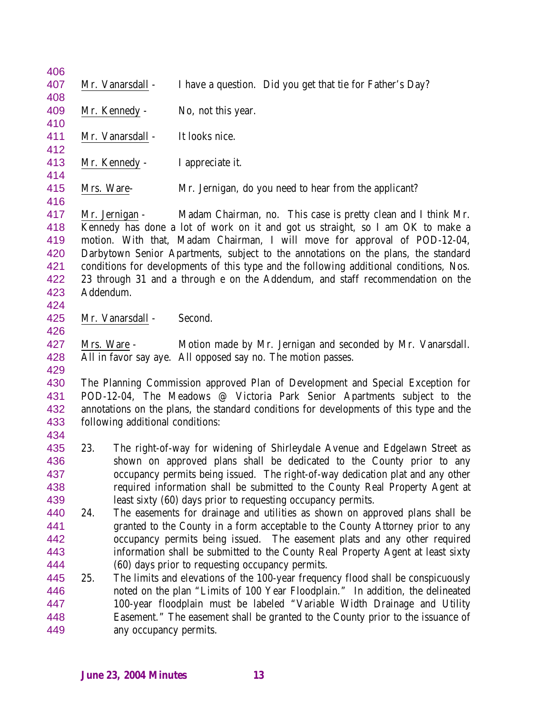|     |  | No, not this year.                                                                                                                                     |                                                                                |                                                  |                                                                                                                                                                                                                                                                                                                                                                                                                                                                                                                                                                                                                                                                                                                                                                                                                                                                                                                                                                                                                                                                                                                                                                                                                                                                                                                                                                                                                                                                                                                                                                                                                                                                                                                                                                                                                                                                                                                                                                                                                                                                             |
|-----|--|--------------------------------------------------------------------------------------------------------------------------------------------------------|--------------------------------------------------------------------------------|--------------------------------------------------|-----------------------------------------------------------------------------------------------------------------------------------------------------------------------------------------------------------------------------------------------------------------------------------------------------------------------------------------------------------------------------------------------------------------------------------------------------------------------------------------------------------------------------------------------------------------------------------------------------------------------------------------------------------------------------------------------------------------------------------------------------------------------------------------------------------------------------------------------------------------------------------------------------------------------------------------------------------------------------------------------------------------------------------------------------------------------------------------------------------------------------------------------------------------------------------------------------------------------------------------------------------------------------------------------------------------------------------------------------------------------------------------------------------------------------------------------------------------------------------------------------------------------------------------------------------------------------------------------------------------------------------------------------------------------------------------------------------------------------------------------------------------------------------------------------------------------------------------------------------------------------------------------------------------------------------------------------------------------------------------------------------------------------------------------------------------------------|
|     |  |                                                                                                                                                        |                                                                                |                                                  |                                                                                                                                                                                                                                                                                                                                                                                                                                                                                                                                                                                                                                                                                                                                                                                                                                                                                                                                                                                                                                                                                                                                                                                                                                                                                                                                                                                                                                                                                                                                                                                                                                                                                                                                                                                                                                                                                                                                                                                                                                                                             |
|     |  | It looks nice.                                                                                                                                         |                                                                                |                                                  |                                                                                                                                                                                                                                                                                                                                                                                                                                                                                                                                                                                                                                                                                                                                                                                                                                                                                                                                                                                                                                                                                                                                                                                                                                                                                                                                                                                                                                                                                                                                                                                                                                                                                                                                                                                                                                                                                                                                                                                                                                                                             |
|     |  |                                                                                                                                                        |                                                                                |                                                  |                                                                                                                                                                                                                                                                                                                                                                                                                                                                                                                                                                                                                                                                                                                                                                                                                                                                                                                                                                                                                                                                                                                                                                                                                                                                                                                                                                                                                                                                                                                                                                                                                                                                                                                                                                                                                                                                                                                                                                                                                                                                             |
|     |  |                                                                                                                                                        |                                                                                |                                                  |                                                                                                                                                                                                                                                                                                                                                                                                                                                                                                                                                                                                                                                                                                                                                                                                                                                                                                                                                                                                                                                                                                                                                                                                                                                                                                                                                                                                                                                                                                                                                                                                                                                                                                                                                                                                                                                                                                                                                                                                                                                                             |
|     |  |                                                                                                                                                        |                                                                                |                                                  |                                                                                                                                                                                                                                                                                                                                                                                                                                                                                                                                                                                                                                                                                                                                                                                                                                                                                                                                                                                                                                                                                                                                                                                                                                                                                                                                                                                                                                                                                                                                                                                                                                                                                                                                                                                                                                                                                                                                                                                                                                                                             |
|     |  |                                                                                                                                                        |                                                                                |                                                  |                                                                                                                                                                                                                                                                                                                                                                                                                                                                                                                                                                                                                                                                                                                                                                                                                                                                                                                                                                                                                                                                                                                                                                                                                                                                                                                                                                                                                                                                                                                                                                                                                                                                                                                                                                                                                                                                                                                                                                                                                                                                             |
|     |  |                                                                                                                                                        |                                                                                |                                                  |                                                                                                                                                                                                                                                                                                                                                                                                                                                                                                                                                                                                                                                                                                                                                                                                                                                                                                                                                                                                                                                                                                                                                                                                                                                                                                                                                                                                                                                                                                                                                                                                                                                                                                                                                                                                                                                                                                                                                                                                                                                                             |
|     |  |                                                                                                                                                        |                                                                                |                                                  |                                                                                                                                                                                                                                                                                                                                                                                                                                                                                                                                                                                                                                                                                                                                                                                                                                                                                                                                                                                                                                                                                                                                                                                                                                                                                                                                                                                                                                                                                                                                                                                                                                                                                                                                                                                                                                                                                                                                                                                                                                                                             |
|     |  |                                                                                                                                                        |                                                                                |                                                  |                                                                                                                                                                                                                                                                                                                                                                                                                                                                                                                                                                                                                                                                                                                                                                                                                                                                                                                                                                                                                                                                                                                                                                                                                                                                                                                                                                                                                                                                                                                                                                                                                                                                                                                                                                                                                                                                                                                                                                                                                                                                             |
|     |  |                                                                                                                                                        |                                                                                |                                                  |                                                                                                                                                                                                                                                                                                                                                                                                                                                                                                                                                                                                                                                                                                                                                                                                                                                                                                                                                                                                                                                                                                                                                                                                                                                                                                                                                                                                                                                                                                                                                                                                                                                                                                                                                                                                                                                                                                                                                                                                                                                                             |
|     |  |                                                                                                                                                        |                                                                                |                                                  |                                                                                                                                                                                                                                                                                                                                                                                                                                                                                                                                                                                                                                                                                                                                                                                                                                                                                                                                                                                                                                                                                                                                                                                                                                                                                                                                                                                                                                                                                                                                                                                                                                                                                                                                                                                                                                                                                                                                                                                                                                                                             |
|     |  |                                                                                                                                                        |                                                                                |                                                  |                                                                                                                                                                                                                                                                                                                                                                                                                                                                                                                                                                                                                                                                                                                                                                                                                                                                                                                                                                                                                                                                                                                                                                                                                                                                                                                                                                                                                                                                                                                                                                                                                                                                                                                                                                                                                                                                                                                                                                                                                                                                             |
|     |  |                                                                                                                                                        |                                                                                |                                                  |                                                                                                                                                                                                                                                                                                                                                                                                                                                                                                                                                                                                                                                                                                                                                                                                                                                                                                                                                                                                                                                                                                                                                                                                                                                                                                                                                                                                                                                                                                                                                                                                                                                                                                                                                                                                                                                                                                                                                                                                                                                                             |
|     |  |                                                                                                                                                        |                                                                                |                                                  |                                                                                                                                                                                                                                                                                                                                                                                                                                                                                                                                                                                                                                                                                                                                                                                                                                                                                                                                                                                                                                                                                                                                                                                                                                                                                                                                                                                                                                                                                                                                                                                                                                                                                                                                                                                                                                                                                                                                                                                                                                                                             |
|     |  |                                                                                                                                                        |                                                                                |                                                  |                                                                                                                                                                                                                                                                                                                                                                                                                                                                                                                                                                                                                                                                                                                                                                                                                                                                                                                                                                                                                                                                                                                                                                                                                                                                                                                                                                                                                                                                                                                                                                                                                                                                                                                                                                                                                                                                                                                                                                                                                                                                             |
|     |  | Second.                                                                                                                                                |                                                                                |                                                  |                                                                                                                                                                                                                                                                                                                                                                                                                                                                                                                                                                                                                                                                                                                                                                                                                                                                                                                                                                                                                                                                                                                                                                                                                                                                                                                                                                                                                                                                                                                                                                                                                                                                                                                                                                                                                                                                                                                                                                                                                                                                             |
|     |  |                                                                                                                                                        |                                                                                |                                                  |                                                                                                                                                                                                                                                                                                                                                                                                                                                                                                                                                                                                                                                                                                                                                                                                                                                                                                                                                                                                                                                                                                                                                                                                                                                                                                                                                                                                                                                                                                                                                                                                                                                                                                                                                                                                                                                                                                                                                                                                                                                                             |
|     |  |                                                                                                                                                        |                                                                                |                                                  |                                                                                                                                                                                                                                                                                                                                                                                                                                                                                                                                                                                                                                                                                                                                                                                                                                                                                                                                                                                                                                                                                                                                                                                                                                                                                                                                                                                                                                                                                                                                                                                                                                                                                                                                                                                                                                                                                                                                                                                                                                                                             |
|     |  |                                                                                                                                                        |                                                                                |                                                  |                                                                                                                                                                                                                                                                                                                                                                                                                                                                                                                                                                                                                                                                                                                                                                                                                                                                                                                                                                                                                                                                                                                                                                                                                                                                                                                                                                                                                                                                                                                                                                                                                                                                                                                                                                                                                                                                                                                                                                                                                                                                             |
|     |  |                                                                                                                                                        |                                                                                |                                                  |                                                                                                                                                                                                                                                                                                                                                                                                                                                                                                                                                                                                                                                                                                                                                                                                                                                                                                                                                                                                                                                                                                                                                                                                                                                                                                                                                                                                                                                                                                                                                                                                                                                                                                                                                                                                                                                                                                                                                                                                                                                                             |
|     |  |                                                                                                                                                        |                                                                                |                                                  |                                                                                                                                                                                                                                                                                                                                                                                                                                                                                                                                                                                                                                                                                                                                                                                                                                                                                                                                                                                                                                                                                                                                                                                                                                                                                                                                                                                                                                                                                                                                                                                                                                                                                                                                                                                                                                                                                                                                                                                                                                                                             |
|     |  |                                                                                                                                                        |                                                                                |                                                  |                                                                                                                                                                                                                                                                                                                                                                                                                                                                                                                                                                                                                                                                                                                                                                                                                                                                                                                                                                                                                                                                                                                                                                                                                                                                                                                                                                                                                                                                                                                                                                                                                                                                                                                                                                                                                                                                                                                                                                                                                                                                             |
|     |  |                                                                                                                                                        |                                                                                |                                                  |                                                                                                                                                                                                                                                                                                                                                                                                                                                                                                                                                                                                                                                                                                                                                                                                                                                                                                                                                                                                                                                                                                                                                                                                                                                                                                                                                                                                                                                                                                                                                                                                                                                                                                                                                                                                                                                                                                                                                                                                                                                                             |
|     |  |                                                                                                                                                        |                                                                                |                                                  |                                                                                                                                                                                                                                                                                                                                                                                                                                                                                                                                                                                                                                                                                                                                                                                                                                                                                                                                                                                                                                                                                                                                                                                                                                                                                                                                                                                                                                                                                                                                                                                                                                                                                                                                                                                                                                                                                                                                                                                                                                                                             |
|     |  |                                                                                                                                                        |                                                                                |                                                  |                                                                                                                                                                                                                                                                                                                                                                                                                                                                                                                                                                                                                                                                                                                                                                                                                                                                                                                                                                                                                                                                                                                                                                                                                                                                                                                                                                                                                                                                                                                                                                                                                                                                                                                                                                                                                                                                                                                                                                                                                                                                             |
| 23. |  |                                                                                                                                                        |                                                                                |                                                  |                                                                                                                                                                                                                                                                                                                                                                                                                                                                                                                                                                                                                                                                                                                                                                                                                                                                                                                                                                                                                                                                                                                                                                                                                                                                                                                                                                                                                                                                                                                                                                                                                                                                                                                                                                                                                                                                                                                                                                                                                                                                             |
|     |  |                                                                                                                                                        |                                                                                |                                                  |                                                                                                                                                                                                                                                                                                                                                                                                                                                                                                                                                                                                                                                                                                                                                                                                                                                                                                                                                                                                                                                                                                                                                                                                                                                                                                                                                                                                                                                                                                                                                                                                                                                                                                                                                                                                                                                                                                                                                                                                                                                                             |
|     |  |                                                                                                                                                        |                                                                                |                                                  |                                                                                                                                                                                                                                                                                                                                                                                                                                                                                                                                                                                                                                                                                                                                                                                                                                                                                                                                                                                                                                                                                                                                                                                                                                                                                                                                                                                                                                                                                                                                                                                                                                                                                                                                                                                                                                                                                                                                                                                                                                                                             |
|     |  |                                                                                                                                                        |                                                                                |                                                  |                                                                                                                                                                                                                                                                                                                                                                                                                                                                                                                                                                                                                                                                                                                                                                                                                                                                                                                                                                                                                                                                                                                                                                                                                                                                                                                                                                                                                                                                                                                                                                                                                                                                                                                                                                                                                                                                                                                                                                                                                                                                             |
|     |  |                                                                                                                                                        |                                                                                |                                                  |                                                                                                                                                                                                                                                                                                                                                                                                                                                                                                                                                                                                                                                                                                                                                                                                                                                                                                                                                                                                                                                                                                                                                                                                                                                                                                                                                                                                                                                                                                                                                                                                                                                                                                                                                                                                                                                                                                                                                                                                                                                                             |
| 24. |  |                                                                                                                                                        |                                                                                |                                                  |                                                                                                                                                                                                                                                                                                                                                                                                                                                                                                                                                                                                                                                                                                                                                                                                                                                                                                                                                                                                                                                                                                                                                                                                                                                                                                                                                                                                                                                                                                                                                                                                                                                                                                                                                                                                                                                                                                                                                                                                                                                                             |
|     |  |                                                                                                                                                        |                                                                                |                                                  |                                                                                                                                                                                                                                                                                                                                                                                                                                                                                                                                                                                                                                                                                                                                                                                                                                                                                                                                                                                                                                                                                                                                                                                                                                                                                                                                                                                                                                                                                                                                                                                                                                                                                                                                                                                                                                                                                                                                                                                                                                                                             |
|     |  |                                                                                                                                                        |                                                                                |                                                  |                                                                                                                                                                                                                                                                                                                                                                                                                                                                                                                                                                                                                                                                                                                                                                                                                                                                                                                                                                                                                                                                                                                                                                                                                                                                                                                                                                                                                                                                                                                                                                                                                                                                                                                                                                                                                                                                                                                                                                                                                                                                             |
|     |  |                                                                                                                                                        |                                                                                |                                                  |                                                                                                                                                                                                                                                                                                                                                                                                                                                                                                                                                                                                                                                                                                                                                                                                                                                                                                                                                                                                                                                                                                                                                                                                                                                                                                                                                                                                                                                                                                                                                                                                                                                                                                                                                                                                                                                                                                                                                                                                                                                                             |
|     |  |                                                                                                                                                        |                                                                                |                                                  |                                                                                                                                                                                                                                                                                                                                                                                                                                                                                                                                                                                                                                                                                                                                                                                                                                                                                                                                                                                                                                                                                                                                                                                                                                                                                                                                                                                                                                                                                                                                                                                                                                                                                                                                                                                                                                                                                                                                                                                                                                                                             |
| 25. |  |                                                                                                                                                        |                                                                                |                                                  |                                                                                                                                                                                                                                                                                                                                                                                                                                                                                                                                                                                                                                                                                                                                                                                                                                                                                                                                                                                                                                                                                                                                                                                                                                                                                                                                                                                                                                                                                                                                                                                                                                                                                                                                                                                                                                                                                                                                                                                                                                                                             |
|     |  |                                                                                                                                                        |                                                                                |                                                  |                                                                                                                                                                                                                                                                                                                                                                                                                                                                                                                                                                                                                                                                                                                                                                                                                                                                                                                                                                                                                                                                                                                                                                                                                                                                                                                                                                                                                                                                                                                                                                                                                                                                                                                                                                                                                                                                                                                                                                                                                                                                             |
|     |  |                                                                                                                                                        |                                                                                |                                                  |                                                                                                                                                                                                                                                                                                                                                                                                                                                                                                                                                                                                                                                                                                                                                                                                                                                                                                                                                                                                                                                                                                                                                                                                                                                                                                                                                                                                                                                                                                                                                                                                                                                                                                                                                                                                                                                                                                                                                                                                                                                                             |
|     |  |                                                                                                                                                        |                                                                                |                                                  |                                                                                                                                                                                                                                                                                                                                                                                                                                                                                                                                                                                                                                                                                                                                                                                                                                                                                                                                                                                                                                                                                                                                                                                                                                                                                                                                                                                                                                                                                                                                                                                                                                                                                                                                                                                                                                                                                                                                                                                                                                                                             |
|     |  |                                                                                                                                                        |                                                                                |                                                  |                                                                                                                                                                                                                                                                                                                                                                                                                                                                                                                                                                                                                                                                                                                                                                                                                                                                                                                                                                                                                                                                                                                                                                                                                                                                                                                                                                                                                                                                                                                                                                                                                                                                                                                                                                                                                                                                                                                                                                                                                                                                             |
|     |  | Mr. Vanarsdall -<br>Mr. Kennedy -<br>Mr. Vanarsdall -<br>Mr. Kennedy -<br>Mrs. Ware-<br>Mr. Jernigan -<br>Addendum.<br>Mr. Vanarsdall -<br>Mrs. Ware - | I appreciate it.<br>following additional conditions:<br>any occupancy permits. | (60) days prior to requesting occupancy permits. | I have a question. Did you get that tie for Father's Day?<br>Mr. Jernigan, do you need to hear from the applicant?<br>Madam Chairman, no. This case is pretty clean and I think Mr.<br>Kennedy has done a lot of work on it and got us straight, so I am OK to make a<br>motion. With that, Madam Chairman, I will move for approval of POD-12-04,<br>Darbytown Senior Apartments, subject to the annotations on the plans, the standard<br>conditions for developments of this type and the following additional conditions, Nos.<br>23 through 31 and a through e on the Addendum, and staff recommendation on the<br>Motion made by Mr. Jernigan and seconded by Mr. Vanarsdall.<br>All in favor say aye. All opposed say no. The motion passes.<br>The Planning Commission approved Plan of Development and Special Exception for<br>POD-12-04, The Meadows @ Victoria Park Senior Apartments subject to the<br>annotations on the plans, the standard conditions for developments of this type and the<br>The right-of-way for widening of Shirleydale Avenue and Edgelawn Street as<br>shown on approved plans shall be dedicated to the County prior to any<br>occupancy permits being issued. The right-of-way dedication plat and any other<br>required information shall be submitted to the County Real Property Agent at<br>least sixty (60) days prior to requesting occupancy permits.<br>The easements for drainage and utilities as shown on approved plans shall be<br>granted to the County in a form acceptable to the County Attorney prior to any<br>occupancy permits being issued. The easement plats and any other required<br>information shall be submitted to the County Real Property Agent at least sixty<br>The limits and elevations of the 100-year frequency flood shall be conspicuously<br>noted on the plan "Limits of 100 Year Floodplain." In addition, the delineated<br>100-year floodplain must be labeled "Variable Width Drainage and Utility<br>Easement." The easement shall be granted to the County prior to the issuance of |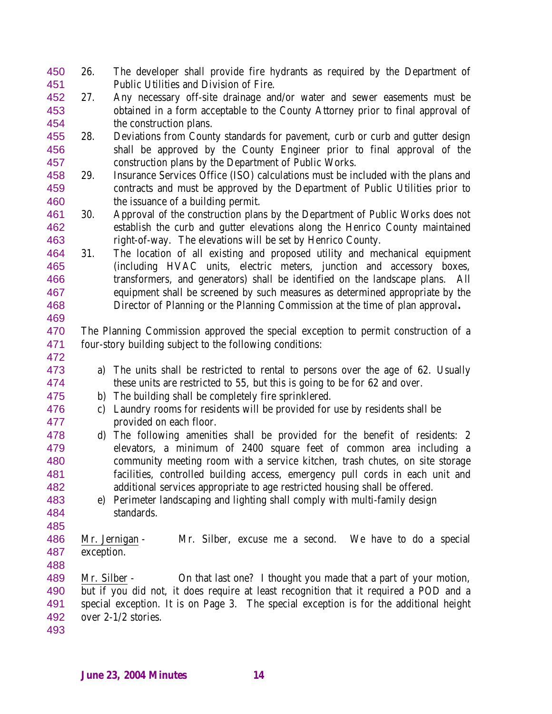- 26. The developer shall provide fire hydrants as required by the Department of Public Utilities and Division of Fire.
- 27. Any necessary off-site drainage and/or water and sewer easements must be obtained in a form acceptable to the County Attorney prior to final approval of the construction plans.
- 28. Deviations from County standards for pavement, curb or curb and gutter design shall be approved by the County Engineer prior to final approval of the construction plans by the Department of Public Works.
- 29. Insurance Services Office (ISO) calculations must be included with the plans and contracts and must be approved by the Department of Public Utilities prior to the issuance of a building permit.
- 30. Approval of the construction plans by the Department of Public Works does not establish the curb and gutter elevations along the Henrico County maintained right-of-way. The elevations will be set by Henrico County.
- 31. The location of all existing and proposed utility and mechanical equipment (including HVAC units, electric meters, junction and accessory boxes, transformers, and generators) shall be identified on the landscape plans. All equipment shall be screened by such measures as determined appropriate by the Director of Planning or the Planning Commission at the time of plan approval**.**
- The Planning Commission approved the special exception to permit construction of a four-story building subject to the following conditions:
- 

- a) The units shall be restricted to rental to persons over the age of 62. Usually these units are restricted to 55, but this is going to be for 62 and over.
- b) The building shall be completely fire sprinklered.
- c) Laundry rooms for residents will be provided for use by residents shall be provided on each floor.
- d) The following amenities shall be provided for the benefit of residents: 2 elevators, a minimum of 2400 square feet of common area including a community meeting room with a service kitchen, trash chutes, on site storage facilities, controlled building access, emergency pull cords in each unit and additional services appropriate to age restricted housing shall be offered.
- e) Perimeter landscaping and lighting shall comply with multi-family design standards.
- Mr. Jernigan Mr. Silber, excuse me a second. We have to do a special exception.
- Mr. Silber On that last one? I thought you made that a part of your motion, but if you did not, it does require at least recognition that it required a POD and a special exception. It is on Page 3. The special exception is for the additional height over 2-1/2 stories.
-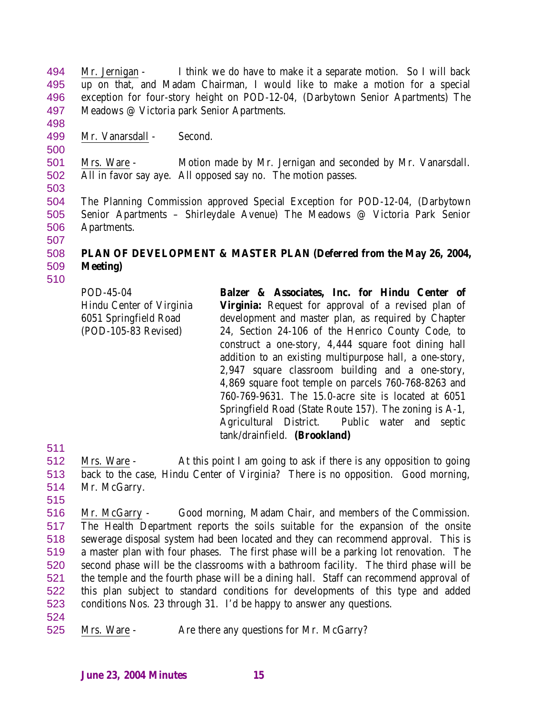Mr. Jernigan - I think we do have to make it a separate motion. So I will back up on that, and Madam Chairman, I would like to make a motion for a special exception for four-story height on POD-12-04, (Darbytown Senior Apartments) The Meadows @ Victoria park Senior Apartments.

- 
- 

Mr. Vanarsdall - Second.

 Mrs. Ware - Motion made by Mr. Jernigan and seconded by Mr. Vanarsdall. All in favor say aye. All opposed say no. The motion passes.

 The Planning Commission approved Special Exception for POD-12-04, (Darbytown Senior Apartments – Shirleydale Avenue) The Meadows @ Victoria Park Senior Apartments. 

## **PLAN OF DEVELOPMENT & MASTER PLAN (Deferred from the May 26, 2004, Meeting)**

| POD-45-04<br>Hindu Center of Virginia<br>6051 Springfield Road<br>(POD-105-83 Revised) | Balzer & Associates, Inc. for Hindu Center of<br><b>Virginia:</b> Request for approval of a revised plan of<br>development and master plan, as required by Chapter<br>24, Section 24-106 of the Henrico County Code, to<br>construct a one-story, 4,444 square foot dining hall<br>addition to an existing multipurpose hall, a one-story,<br>2,947 square classroom building and a one-story,<br>4,869 square foot temple on parcels 760-768-8263 and<br>760-769-9631. The 15.0-acre site is located at 6051<br>Springfield Road (State Route 157). The zoning is A-1,<br>Agricultural District. Public water and septic |
|----------------------------------------------------------------------------------------|---------------------------------------------------------------------------------------------------------------------------------------------------------------------------------------------------------------------------------------------------------------------------------------------------------------------------------------------------------------------------------------------------------------------------------------------------------------------------------------------------------------------------------------------------------------------------------------------------------------------------|
|                                                                                        | tank/drainfield. (Brookland)                                                                                                                                                                                                                                                                                                                                                                                                                                                                                                                                                                                              |

 Mrs. Ware - At this point I am going to ask if there is any opposition to going back to the case, Hindu Center of Virginia? There is no opposition. Good morning, Mr. McGarry.

 Mr. McGarry - Good morning, Madam Chair, and members of the Commission. The Health Department reports the soils suitable for the expansion of the onsite sewerage disposal system had been located and they can recommend approval. This is a master plan with four phases. The first phase will be a parking lot renovation. The second phase will be the classrooms with a bathroom facility. The third phase will be the temple and the fourth phase will be a dining hall. Staff can recommend approval of this plan subject to standard conditions for developments of this type and added conditions Nos. 23 through 31. I'd be happy to answer any questions.

Mrs. Ware - Are there any questions for Mr. McGarry?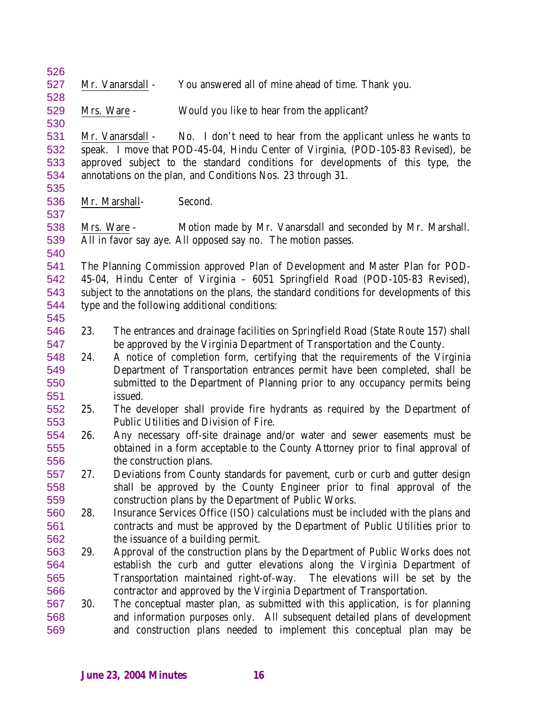| 526 |             |                                                                                           |
|-----|-------------|-------------------------------------------------------------------------------------------|
| 527 |             | Mr. Vanarsdall -<br>You answered all of mine ahead of time. Thank you.                    |
| 528 |             |                                                                                           |
| 529 | Mrs. Ware - | Would you like to hear from the applicant?                                                |
| 530 |             |                                                                                           |
| 531 |             | No. I don't need to hear from the applicant unless he wants to<br>Mr. Vanarsdall -        |
| 532 |             | speak. I move that POD-45-04, Hindu Center of Virginia, (POD-105-83 Revised), be          |
| 533 |             | approved subject to the standard conditions for developments of this type, the            |
| 534 |             | annotations on the plan, and Conditions Nos. 23 through 31.                               |
| 535 |             |                                                                                           |
| 536 |             | Mr. Marshall-<br>Second.                                                                  |
| 537 |             |                                                                                           |
| 538 |             | Motion made by Mr. Vanarsdall and seconded by Mr. Marshall.<br>Mrs. Ware -                |
| 539 |             | All in favor say aye. All opposed say no. The motion passes.                              |
| 540 |             |                                                                                           |
| 541 |             | The Planning Commission approved Plan of Development and Master Plan for POD-             |
| 542 |             | 45-04, Hindu Center of Virginia - 6051 Springfield Road (POD-105-83 Revised),             |
| 543 |             | subject to the annotations on the plans, the standard conditions for developments of this |
| 544 |             | type and the following additional conditions:                                             |
| 545 |             |                                                                                           |
| 546 | 23.         | The entrances and drainage facilities on Springfield Road (State Route 157) shall         |
| 547 |             | be approved by the Virginia Department of Transportation and the County.                  |
| 548 | 24.         | A notice of completion form, certifying that the requirements of the Virginia             |
| 549 |             | Department of Transportation entrances permit have been completed, shall be               |
| 550 |             | submitted to the Department of Planning prior to any occupancy permits being              |
| 551 |             | issued.                                                                                   |
| 552 | 25.         | The developer shall provide fire hydrants as required by the Department of                |
| 553 |             | Public Utilities and Division of Fire.                                                    |
| 554 | 26.         | Any necessary off-site drainage and/or water and sewer easements must be                  |
| 555 |             | obtained in a form acceptable to the County Attorney prior to final approval of           |
| 556 |             | the construction plans.                                                                   |
| 557 | 27.         | Deviations from County standards for pavement, curb or curb and gutter design             |
| 558 |             | shall be approved by the County Engineer prior to final approval of the                   |
| 559 |             | construction plans by the Department of Public Works.                                     |
| 560 | 28.         | Insurance Services Office (ISO) calculations must be included with the plans and          |
| 561 |             | contracts and must be approved by the Department of Public Utilities prior to             |
| 562 |             | the issuance of a building permit.                                                        |
| 563 | 29.         | Approval of the construction plans by the Department of Public Works does not             |
| 564 |             | establish the curb and gutter elevations along the Virginia Department of                 |
| 565 |             | The elevations will be set by the<br>Transportation maintained right-of-way.              |
| 566 |             | contractor and approved by the Virginia Department of Transportation.                     |
| 567 | 30.         | The conceptual master plan, as submitted with this application, is for planning           |
| 568 |             | and information purposes only. All subsequent detailed plans of development               |
| 569 |             |                                                                                           |
|     |             | and construction plans needed to implement this conceptual plan may be                    |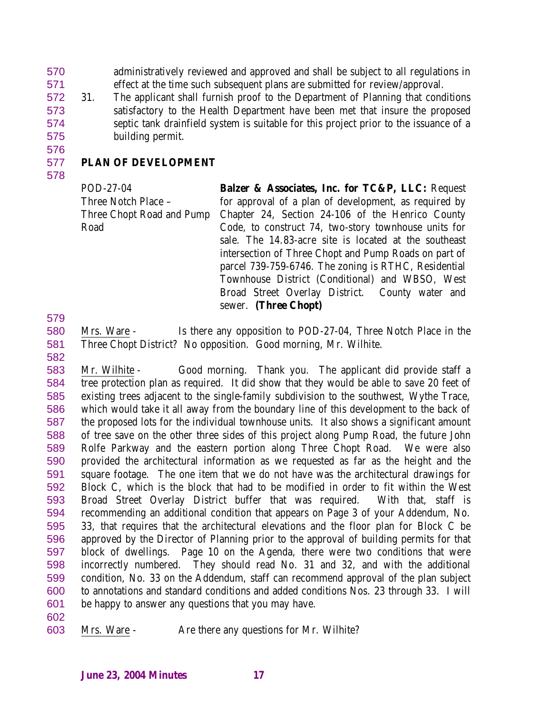administratively reviewed and approved and shall be subject to all regulations in effect at the time such subsequent plans are submitted for review/approval.

 31. The applicant shall furnish proof to the Department of Planning that conditions satisfactory to the Health Department have been met that insure the proposed septic tank drainfield system is suitable for this project prior to the issuance of a building permit.

# 

#### **PLAN OF DEVELOPMENT**

POD-27-04 Three Notch Place – Three Chopt Road and Pump Road

**Balzer & Associates, Inc. for TC&P, LLC:** Request for approval of a plan of development, as required by Chapter 24, Section 24-106 of the Henrico County Code, to construct 74, two-story townhouse units for sale. The 14.83-acre site is located at the southeast intersection of Three Chopt and Pump Roads on part of parcel 739-759-6746. The zoning is RTHC, Residential Townhouse District (Conditional) and WBSO, West Broad Street Overlay District. County water and sewer. **(Three Chopt)**

- 
- Mrs. Ware Is there any opposition to POD-27-04, Three Notch Place in the Three Chopt District? No opposition. Good morning, Mr. Wilhite.
- 

 Mr. Wilhite - Good morning. Thank you. The applicant did provide staff a tree protection plan as required. It did show that they would be able to save 20 feet of existing trees adjacent to the single-family subdivision to the southwest, Wythe Trace, which would take it all away from the boundary line of this development to the back of the proposed lots for the individual townhouse units. It also shows a significant amount of tree save on the other three sides of this project along Pump Road, the future John Rolfe Parkway and the eastern portion along Three Chopt Road. We were also provided the architectural information as we requested as far as the height and the square footage. The one item that we do not have was the architectural drawings for Block C, which is the block that had to be modified in order to fit within the West Broad Street Overlay District buffer that was required. With that, staff is recommending an additional condition that appears on Page 3 of your Addendum, No. 33, that requires that the architectural elevations and the floor plan for Block C be approved by the Director of Planning prior to the approval of building permits for that block of dwellings. Page 10 on the Agenda, there were two conditions that were incorrectly numbered. They should read No. 31 and 32, and with the additional condition, No. 33 on the Addendum, staff can recommend approval of the plan subject to annotations and standard conditions and added conditions Nos. 23 through 33. I will be happy to answer any questions that you may have.

Mrs. Ware - Are there any questions for Mr. Wilhite?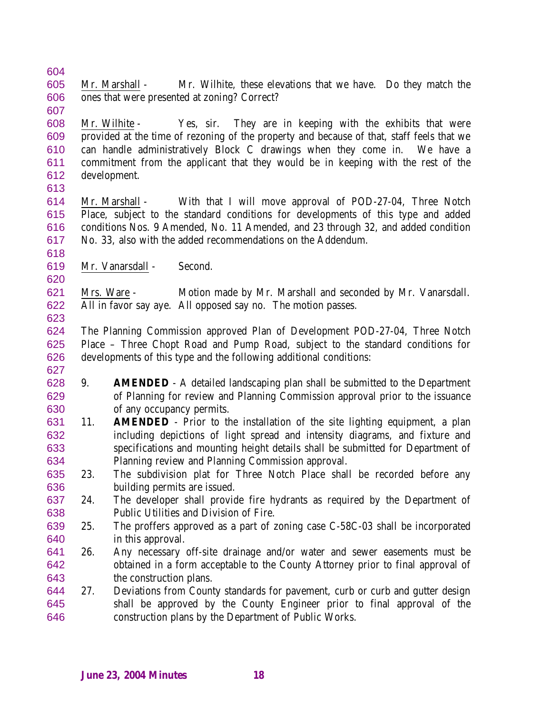Mr. Marshall - Mr. Wilhite, these elevations that we have. Do they match the ones that were presented at zoning? Correct? 

 Mr. Wilhite - Yes, sir. They are in keeping with the exhibits that were provided at the time of rezoning of the property and because of that, staff feels that we can handle administratively Block C drawings when they come in. We have a commitment from the applicant that they would be in keeping with the rest of the development. 

- Mr. Marshall With that I will move approval of POD-27-04, Three Notch Place, subject to the standard conditions for developments of this type and added conditions Nos. 9 Amended, No. 11 Amended, and 23 through 32, and added condition No. 33, also with the added recommendations on the Addendum.
- Mr. Vanarsdall Second.

 Mrs. Ware - Motion made by Mr. Marshall and seconded by Mr. Vanarsdall. All in favor say aye. All opposed say no. The motion passes. 

 The Planning Commission approved Plan of Development POD-27-04, Three Notch Place – Three Chopt Road and Pump Road, subject to the standard conditions for developments of this type and the following additional conditions:

- 9. **AMENDED** A detailed landscaping plan shall be submitted to the Department of Planning for review and Planning Commission approval prior to the issuance of any occupancy permits.
- 11. **AMENDED** Prior to the installation of the site lighting equipment, a plan including depictions of light spread and intensity diagrams, and fixture and specifications and mounting height details shall be submitted for Department of Planning review and Planning Commission approval.
- 23. The subdivision plat for Three Notch Place shall be recorded before any building permits are issued.
- 24. The developer shall provide fire hydrants as required by the Department of Public Utilities and Division of Fire.
- 25. The proffers approved as a part of zoning case C-58C-03 shall be incorporated in this approval.
- 26. Any necessary off-site drainage and/or water and sewer easements must be obtained in a form acceptable to the County Attorney prior to final approval of the construction plans.
- 27. Deviations from County standards for pavement, curb or curb and gutter design shall be approved by the County Engineer prior to final approval of the construction plans by the Department of Public Works.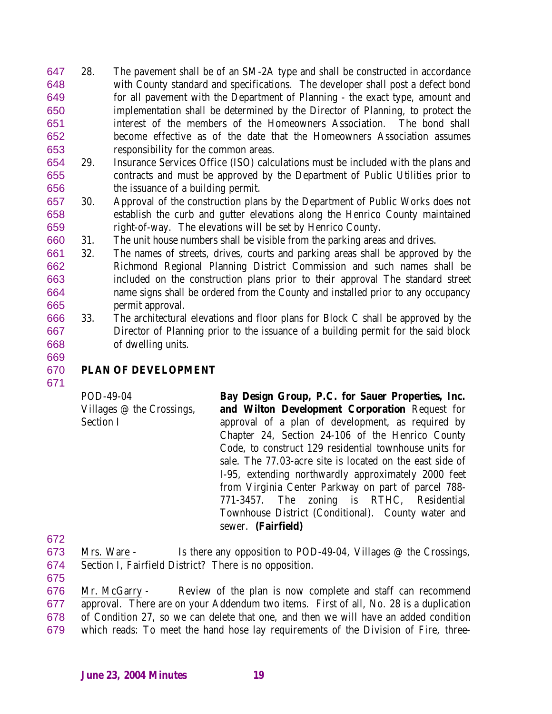- 28. The pavement shall be of an SM-2A type and shall be constructed in accordance with County standard and specifications. The developer shall post a defect bond for all pavement with the Department of Planning - the exact type, amount and implementation shall be determined by the Director of Planning, to protect the interest of the members of the Homeowners Association. The bond shall become effective as of the date that the Homeowners Association assumes responsibility for the common areas.
- 29. Insurance Services Office (ISO) calculations must be included with the plans and contracts and must be approved by the Department of Public Utilities prior to the issuance of a building permit.
- 30. Approval of the construction plans by the Department of Public Works does not establish the curb and gutter elevations along the Henrico County maintained right-of-way. The elevations will be set by Henrico County.
- 31. The unit house numbers shall be visible from the parking areas and drives.
- 32. The names of streets, drives, courts and parking areas shall be approved by the Richmond Regional Planning District Commission and such names shall be included on the construction plans prior to their approval The standard street name signs shall be ordered from the County and installed prior to any occupancy permit approval.
- 33. The architectural elevations and floor plans for Block C shall be approved by the Director of Planning prior to the issuance of a building permit for the said block of dwelling units.

# **PLAN OF DEVELOPMENT**

POD-49-04

Section I

Villages @ the Crossings, **Bay Design Group, P.C. for Sauer Properties, Inc. and Wilton Development Corporation** Request for approval of a plan of development, as required by Chapter 24, Section 24-106 of the Henrico County Code, to construct 129 residential townhouse units for sale. The 77.03-acre site is located on the east side of I-95, extending northwardly approximately 2000 feet from Virginia Center Parkway on part of parcel 788- 771-3457. The zoning is RTHC, Residential Townhouse District (Conditional). County water and sewer. **(Fairfield)**

- 
- Mrs. Ware Is there any opposition to POD-49-04, Villages @ the Crossings, Section I, Fairfield District? There is no opposition.
- 

 Mr. McGarry - Review of the plan is now complete and staff can recommend approval. There are on your Addendum two items. First of all, No. 28 is a duplication of Condition 27, so we can delete that one, and then we will have an added condition which reads: To meet the hand hose lay requirements of the Division of Fire, three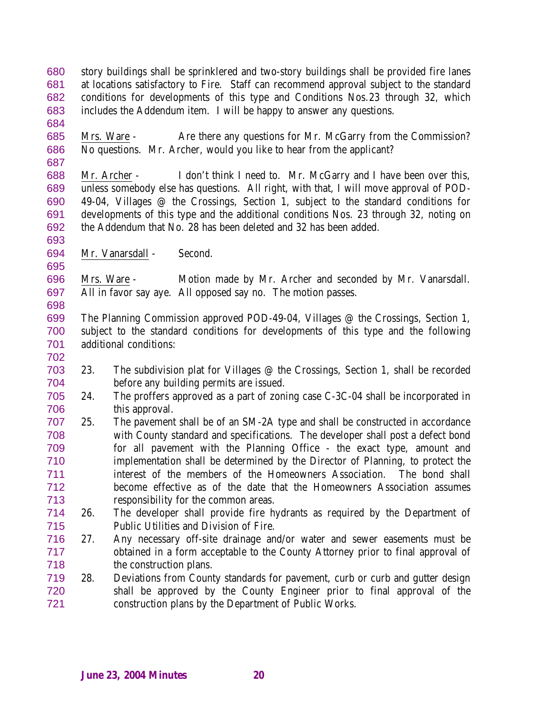story buildings shall be sprinklered and two-story buildings shall be provided fire lanes at locations satisfactory to Fire. Staff can recommend approval subject to the standard conditions for developments of this type and Conditions Nos.23 through 32, which includes the Addendum item. I will be happy to answer any questions.

 Mrs. Ware - Are there any questions for Mr. McGarry from the Commission? No questions. Mr. Archer, would you like to hear from the applicant?

 Mr. Archer - I don't think I need to. Mr. McGarry and I have been over this, unless somebody else has questions. All right, with that, I will move approval of POD- 49-04, Villages @ the Crossings, Section 1, subject to the standard conditions for developments of this type and the additional conditions Nos. 23 through 32, noting on the Addendum that No. 28 has been deleted and 32 has been added.

Mr. Vanarsdall - Second.

 Mrs. Ware - Motion made by Mr. Archer and seconded by Mr. Vanarsdall. All in favor say aye. All opposed say no. The motion passes.

- The Planning Commission approved POD-49-04, Villages @ the Crossings, Section 1, subject to the standard conditions for developments of this type and the following additional conditions:
- 23. The subdivision plat for Villages @ the Crossings, Section 1, shall be recorded before any building permits are issued.
- 24. The proffers approved as a part of zoning case C-3C-04 shall be incorporated in this approval.
- 25. The pavement shall be of an SM-2A type and shall be constructed in accordance with County standard and specifications. The developer shall post a defect bond for all pavement with the Planning Office - the exact type, amount and implementation shall be determined by the Director of Planning, to protect the interest of the members of the Homeowners Association. The bond shall become effective as of the date that the Homeowners Association assumes responsibility for the common areas.
- 26. The developer shall provide fire hydrants as required by the Department of Public Utilities and Division of Fire.
- 27. Any necessary off-site drainage and/or water and sewer easements must be obtained in a form acceptable to the County Attorney prior to final approval of the construction plans.
- 28. Deviations from County standards for pavement, curb or curb and gutter design shall be approved by the County Engineer prior to final approval of the construction plans by the Department of Public Works.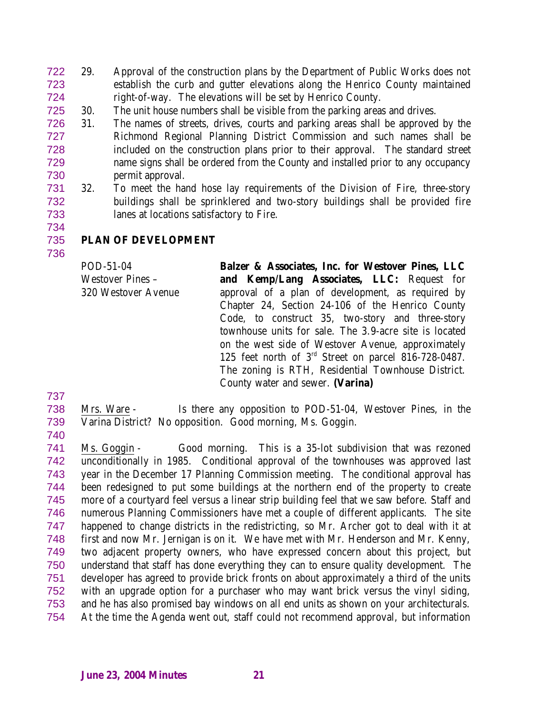- 29. Approval of the construction plans by the Department of Public Works does not establish the curb and gutter elevations along the Henrico County maintained right-of-way. The elevations will be set by Henrico County.
- 30. The unit house numbers shall be visible from the parking areas and drives.
- 31. The names of streets, drives, courts and parking areas shall be approved by the Richmond Regional Planning District Commission and such names shall be included on the construction plans prior to their approval. The standard street name signs shall be ordered from the County and installed prior to any occupancy permit approval.
- 32. To meet the hand hose lay requirements of the Division of Fire, three-story buildings shall be sprinklered and two-story buildings shall be provided fire lanes at locations satisfactory to Fire.
- 

# **PLAN OF DEVELOPMENT**

POD-51-04 Westover Pines – 320 Westover Avenue **Balzer & Associates, Inc. for Westover Pines, LLC and Kemp/Lang Associates, LLC:** Request for approval of a plan of development, as required by Chapter 24, Section 24-106 of the Henrico County Code, to construct 35, two-story and three-story townhouse units for sale. The 3.9-acre site is located on the west side of Westover Avenue, approximately 125 feet north of  $3<sup>rd</sup>$  Street on parcel 816-728-0487. The zoning is RTH, Residential Townhouse District. County water and sewer. **(Varina)**

 Mrs. Ware - Is there any opposition to POD-51-04, Westover Pines, in the Varina District? No opposition. Good morning, Ms. Goggin.

 Ms. Goggin - Good morning. This is a 35-lot subdivision that was rezoned unconditionally in 1985. Conditional approval of the townhouses was approved last year in the December 17 Planning Commission meeting. The conditional approval has been redesigned to put some buildings at the northern end of the property to create more of a courtyard feel versus a linear strip building feel that we saw before. Staff and numerous Planning Commissioners have met a couple of different applicants. The site happened to change districts in the redistricting, so Mr. Archer got to deal with it at first and now Mr. Jernigan is on it. We have met with Mr. Henderson and Mr. Kenny, two adjacent property owners, who have expressed concern about this project, but understand that staff has done everything they can to ensure quality development. The developer has agreed to provide brick fronts on about approximately a third of the units with an upgrade option for a purchaser who may want brick versus the vinyl siding, and he has also promised bay windows on all end units as shown on your architecturals. At the time the Agenda went out, staff could not recommend approval, but information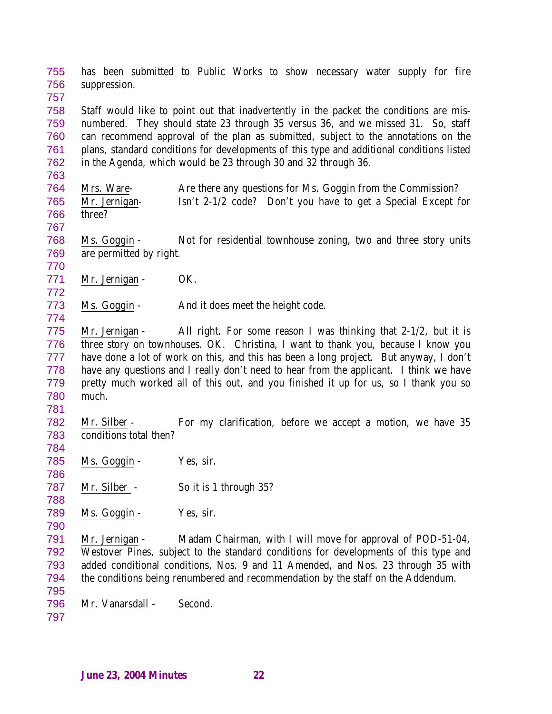has been submitted to Public Works to show necessary water supply for fire suppression.

 Staff would like to point out that inadvertently in the packet the conditions are mis- numbered. They should state 23 through 35 versus 36, and we missed 31. So, staff can recommend approval of the plan as submitted, subject to the annotations on the plans, standard conditions for developments of this type and additional conditions listed in the Agenda, which would be 23 through 30 and 32 through 36.

 Mrs. Ware- Are there any questions for Ms. Goggin from the Commission? Mr. Jernigan- Isn't 2-1/2 code? Don't you have to get a Special Except for three?

 Ms. Goggin - Not for residential townhouse zoning, two and three story units are permitted by right.

771 Mr. Jernigan - OK.

Ms. Goggin - And it does meet the height code.

 Mr. Jernigan - All right. For some reason I was thinking that 2-1/2, but it is three story on townhouses. OK. Christina, I want to thank you, because I know you have done a lot of work on this, and this has been a long project. But anyway, I don't have any questions and I really don't need to hear from the applicant. I think we have pretty much worked all of this out, and you finished it up for us, so I thank you so much.

 Mr. Silber - For my clarification, before we accept a motion, we have 35 conditions total then?

785 Ms. Goggin - Yes, sir. 

787 Mr. Silber - So it is 1 through 35?

789 Ms. Goggin - Yes, sir.

 Mr. Jernigan - Madam Chairman, with I will move for approval of POD-51-04, Westover Pines, subject to the standard conditions for developments of this type and added conditional conditions, Nos. 9 and 11 Amended, and Nos. 23 through 35 with the conditions being renumbered and recommendation by the staff on the Addendum.

 Mr. Vanarsdall - Second.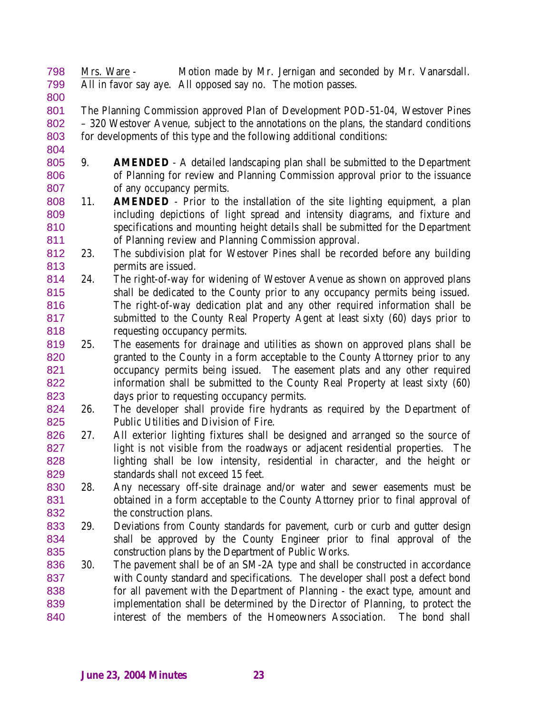Mrs. Ware - Motion made by Mr. Jernigan and seconded by Mr. Vanarsdall. All in favor say aye. All opposed say no. The motion passes.

 The Planning Commission approved Plan of Development POD-51-04, Westover Pines – 320 Westover Avenue, subject to the annotations on the plans, the standard conditions for developments of this type and the following additional conditions:

- 9. **AMENDED** A detailed landscaping plan shall be submitted to the Department of Planning for review and Planning Commission approval prior to the issuance of any occupancy permits.
- 11. **AMENDED** Prior to the installation of the site lighting equipment, a plan including depictions of light spread and intensity diagrams, and fixture and specifications and mounting height details shall be submitted for the Department of Planning review and Planning Commission approval.
- 23. The subdivision plat for Westover Pines shall be recorded before any building permits are issued.
- 24. The right-of-way for widening of Westover Avenue as shown on approved plans shall be dedicated to the County prior to any occupancy permits being issued. The right-of-way dedication plat and any other required information shall be submitted to the County Real Property Agent at least sixty (60) days prior to requesting occupancy permits.
- 25. The easements for drainage and utilities as shown on approved plans shall be granted to the County in a form acceptable to the County Attorney prior to any occupancy permits being issued. The easement plats and any other required information shall be submitted to the County Real Property at least sixty (60) days prior to requesting occupancy permits.
- 26. The developer shall provide fire hydrants as required by the Department of Public Utilities and Division of Fire.
- 27. All exterior lighting fixtures shall be designed and arranged so the source of light is not visible from the roadways or adjacent residential properties. The lighting shall be low intensity, residential in character, and the height or standards shall not exceed 15 feet.
- 28. Any necessary off-site drainage and/or water and sewer easements must be obtained in a form acceptable to the County Attorney prior to final approval of the construction plans.
- 29. Deviations from County standards for pavement, curb or curb and gutter design shall be approved by the County Engineer prior to final approval of the construction plans by the Department of Public Works.
- 30. The pavement shall be of an SM-2A type and shall be constructed in accordance with County standard and specifications. The developer shall post a defect bond for all pavement with the Department of Planning - the exact type, amount and implementation shall be determined by the Director of Planning, to protect the interest of the members of the Homeowners Association. The bond shall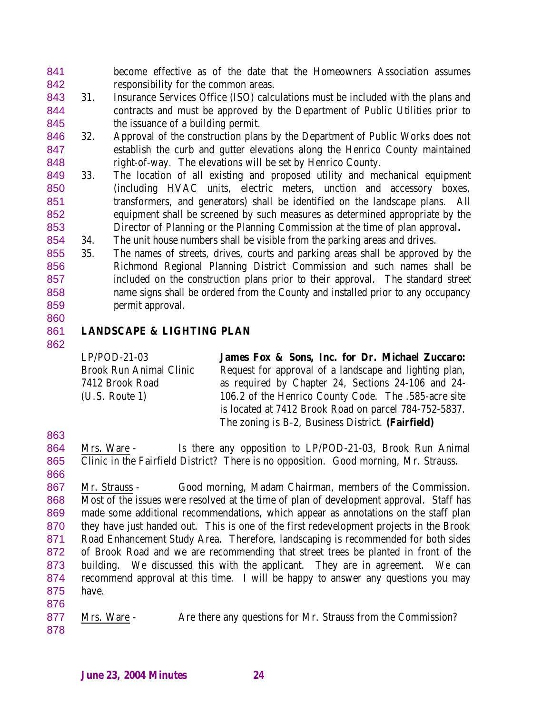become effective as of the date that the Homeowners Association assumes responsibility for the common areas.

- 31. Insurance Services Office (ISO) calculations must be included with the plans and contracts and must be approved by the Department of Public Utilities prior to the issuance of a building permit.
- 32. Approval of the construction plans by the Department of Public Works does not establish the curb and gutter elevations along the Henrico County maintained right-of-way. The elevations will be set by Henrico County.
- 33. The location of all existing and proposed utility and mechanical equipment (including HVAC units, electric meters, unction and accessory boxes, transformers, and generators) shall be identified on the landscape plans. All equipment shall be screened by such measures as determined appropriate by the Director of Planning or the Planning Commission at the time of plan approval**.**
- 34. The unit house numbers shall be visible from the parking areas and drives.
- 35. The names of streets, drives, courts and parking areas shall be approved by the Richmond Regional Planning District Commission and such names shall be included on the construction plans prior to their approval. The standard street name signs shall be ordered from the County and installed prior to any occupancy permit approval.
- 

### **LANDSCAPE & LIGHTING PLAN**

| $LP/POD-21-03$                 | James Fox & Sons, Inc. for Dr. Michael Zuccaro:        |
|--------------------------------|--------------------------------------------------------|
| <b>Brook Run Animal Clinic</b> | Request for approval of a landscape and lighting plan, |
| 7412 Brook Road                | as required by Chapter 24, Sections 24-106 and 24-     |
| $(U.S.$ Route 1)               | 106.2 of the Henrico County Code. The .585-acre site   |
|                                | is located at 7412 Brook Road on parcel 784-752-5837.  |
|                                | The zoning is B-2, Business District. (Fairfield)      |

Mrs. Ware - Is there any opposition to LP/POD-21-03, Brook Run Animal

Clinic in the Fairfield District? There is no opposition. Good morning, Mr. Strauss.

 Mr. Strauss - Good morning, Madam Chairman, members of the Commission. Most of the issues were resolved at the time of plan of development approval. Staff has made some additional recommendations, which appear as annotations on the staff plan they have just handed out. This is one of the first redevelopment projects in the Brook Road Enhancement Study Area. Therefore, landscaping is recommended for both sides of Brook Road and we are recommending that street trees be planted in front of the building. We discussed this with the applicant. They are in agreement. We can recommend approval at this time. I will be happy to answer any questions you may have. 

- 877 Mrs. Ware Are there any questions for Mr. Strauss from the Commission?
	- **June 23, 2004 Minutes 24**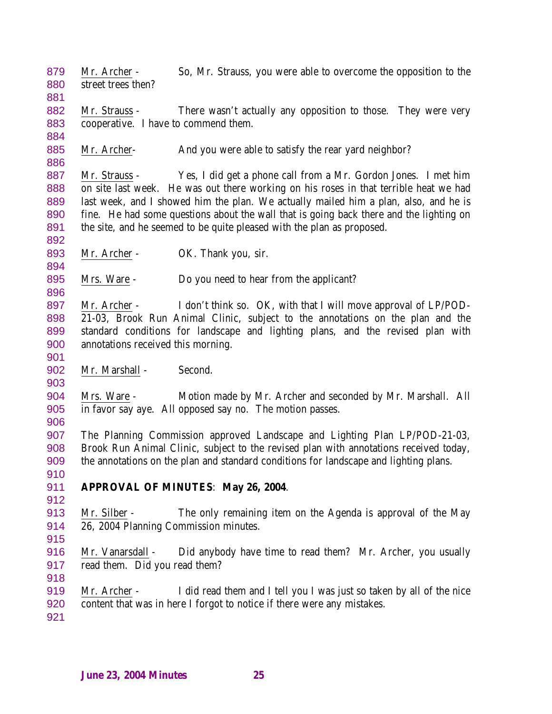Mr. Archer - So, Mr. Strauss, you were able to overcome the opposition to the street trees then?

882 Mr. Strauss - There wasn't actually any opposition to those. They were very cooperative. I have to commend them.

885 Mr. Archer- And you were able to satisfy the rear yard neighbor?

 Mr. Strauss - Yes, I did get a phone call from a Mr. Gordon Jones. I met him on site last week. He was out there working on his roses in that terrible heat we had last week, and I showed him the plan. We actually mailed him a plan, also, and he is fine. He had some questions about the wall that is going back there and the lighting on the site, and he seemed to be quite pleased with the plan as proposed.

893 Mr. Archer - OK. Thank you, sir.

895 Mrs. Ware - Do you need to hear from the applicant?

897 Mr. Archer - I don't think so. OK, with that I will move approval of LP/POD- 21-03, Brook Run Animal Clinic, subject to the annotations on the plan and the standard conditions for landscape and lighting plans, and the revised plan with annotations received this morning.

902 Mr. Marshall - Second.

 Mrs. Ware - Motion made by Mr. Archer and seconded by Mr. Marshall. All in favor say aye. All opposed say no. The motion passes.

 The Planning Commission approved Landscape and Lighting Plan LP/POD-21-03, Brook Run Animal Clinic, subject to the revised plan with annotations received today, the annotations on the plan and standard conditions for landscape and lighting plans.

**APPROVAL OF MINUTES**: **May 26, 2004**.

 Mr. Silber - The only remaining item on the Agenda is approval of the May 26, 2004 Planning Commission minutes.

916 Mr. Vanarsdall - Did anybody have time to read them? Mr. Archer, you usually read them. Did you read them? 

 Mr. Archer - I did read them and I tell you I was just so taken by all of the nice content that was in here I forgot to notice if there were any mistakes.